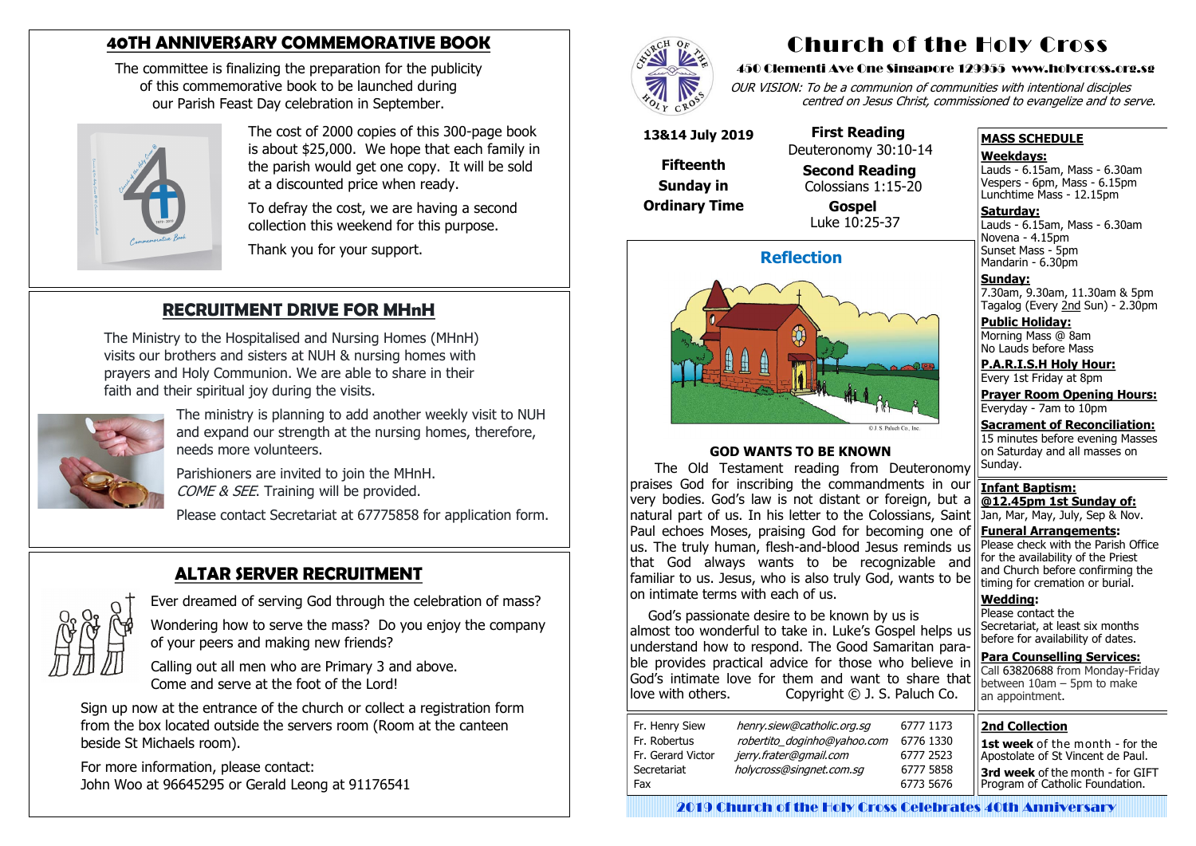### **ALTAR SERVER RECRUITMENT**



Ever dreamed of serving God through the celebration of mass?

 Wondering how to serve the mass? Do you enjoy the company of your peers and making new friends?

 Calling out all men who are Primary 3 and above. Come and serve at the foot of the Lord!

 Sign up now at the entrance of the church or collect a registration form from the box located outside the servers room (Room at the canteen beside St Michaels room).

Parishioners are invited to join the MHnH. COME & SEE. Training will be provided.

 For more information, please contact: John Woo at 96645295 or Gerald Leong at 91176541



### **RECRUITMENT DRIVE FOR MHnH**

The Ministry to the Hospitalised and Nursing Homes (MHnH) visits our brothers and sisters at NUH & nursing homes with prayers and Holy Communion. We are able to share in their faith and their spiritual joy during the visits.



The ministry is planning to add another weekly visit to NUH and expand our strength at the nursing homes, therefore, needs more volunteers.

Please contact Secretariat at 67775858 for application form.

### **40TH ANNIVERSARY COMMEMORATIVE BOOK**

The committee is finalizing the preparation for the publicity of this commemorative book to be launched during our Parish Feast Day celebration in September.



The cost of 2000 copies of this 300-page book is about \$25,000. We hope that each family in the parish would get one copy. It will be sold at a discounted price when ready.

To defray the cost, we are having a second collection this weekend for this purpose.

Thank you for your support.

## Church of the Holy Cross

#### 450 Clementi Ave One Singapore 129955 www.holycross.org.sg

OUR VISION: To be a communion of communities with intentional disciples centred on Jesus Christ, commissioned to evangelize and to serve.

#### **MASS SCHEDULE**

#### **Weekdays:**

Lauds - 6.15am, Mass - 6.30am Vespers - 6pm, Mass - 6.15pm Lunchtime Mass - 12.15pm **Saturday:**

Lauds - 6.15am, Mass - 6.30am Novena - 4.15pm Sunset Mass - 5pm Mandarin - 6.30pm

**Sunday:** 7.30am, 9.30am, 11.30am & 5pm Tagalog (Every 2nd Sun) - 2.30pm

**Public Holiday:**  Morning Mass @ 8am No Lauds before Mass

**P.A.R.I.S.H Holy Hour:** Every 1st Friday at 8pm

**Prayer Room Opening Hours:** Everyday - 7am to 10pm

**Sacrament of Reconciliation:** 15 minutes before evening Masses on Saturday and all masses on

Please contact the Secretariat, at least six months before for availability of dates.

**Para Counselling Services:** Call [63820688](tel:+6563820688) from Monday-Friday between  $10$ am – 5pm to make an appointment.

#### **Reflection**



Sunday. **Infant Baptism: @12.45pm 1st Sunday of:** Jan, Mar, May, July, Sep & Nov. **Funeral Arrangements:**  Please check with the Parish Office for the availability of the Priest and Church before confirming the timing for cremation or burial. **Wedding:**  The Old Testament reading from Deuteronomy praises God for inscribing the commandments in our very bodies. God's law is not distant or foreign, but a natural part of us. In his letter to the Colossians, Saint Paul echoes Moses, praising God for becoming one of us. The truly human, flesh-and-blood Jesus reminds us that God always wants to be recognizable and familiar to us. Jesus, who is also truly God, wants to be on intimate terms with each of us.

#### **GOD WANTS TO BE KNOWN**

God's passionate desire to be known by us is almost too wonderful to take in. Luke's Gospel helps us understand how to respond. The Good Samaritan parable provides practical advice for those who believe in God's intimate love for them and want to share that love with others. Copyright © J. S. Paluch Co.

| Fr. Henry Siew    | henry.siew@catholic.org.sg  |   |
|-------------------|-----------------------------|---|
| Fr. Robertus      | robertito_doginho@yahoo.com | f |
| Fr. Gerard Victor | jerry.frater@gmail.com      |   |
| Secretariat       | holycross@singnet.com.sg    |   |
| Fax               |                             |   |
|                   |                             |   |

#### **13&14 July 2019**

**Fifteenth Sunday in Ordinary Time**

 **First Reading** Deuteronomy 30:10-14

**Second Reading**

#### Colossians 1:15-20 **Gospel** Luke 10:25-37

#### **2nd Collection**

**1st week** of the month - for the Apostolate of St Vincent de Paul.

**3rd week** of the month - for GIFT Program of Catholic Foundation.

2019 Church of the Holy Cross Celebrates 40th Anniversary